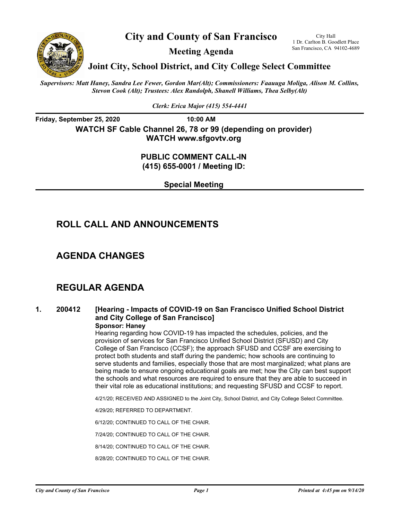

**City and County of San Francisco** 

San Francisco, CA 94102-4689 **Meeting Agenda** 

1 Dr. Carlton B. Goodlett Place

**Joint City, School District, and City College Select Committee** 

*Supervisors: Matt Haney, Sandra Lee Fewer, Gordon Mar(Alt); Commissioners: Faauuga Moliga, Alison M. Collins, Stevon Cook (Alt); Trustees: Alex Randolph, Shanell Williams, Thea Selby(Alt)*

*Clerk: Erica Major (415) 554-4441*

**Friday, September 25, 2020** 10:00 AM **WATCH SF Cable Channel 26, 78 or 99 (depending on provider) WATCH www.sfgovtv.org** 

### **PUBLIC COMMENT CALL-IN (415) 655-0001 / Meeting ID:**

**Special Meeting** 

# **ROLL CALL AND ANNOUNCEMENTS**

### **AGENDA CHANGES**

# **REGULAR AGENDA**

## **1. 200412 [Hearing - Impacts of COVID-19 on San Francisco Unified School District and City College of San Francisco]**

### **Sponsor: Haney**

Hearing regarding how COVID-19 has impacted the schedules, policies, and the provision of services for San Francisco Unified School District (SFUSD) and City College of San Francisco (CCSF); the approach SFUSD and CCSF are exercising to protect both students and staff during the pandemic; how schools are continuing to serve students and families, especially those that are most marginalized; what plans are being made to ensure ongoing educational goals are met; how the City can best support the schools and what resources are required to ensure that they are able to succeed in their vital role as educational institutions; and requesting SFUSD and CCSF to report.

4/21/20; RECEIVED AND ASSIGNED to the Joint City, School District, and City College Select Committee.

4/29/20; REFERRED TO DEPARTMENT.

6/12/20; CONTINUED TO CALL OF THE CHAIR.

7/24/20; CONTINUED TO CALL OF THE CHAIR.

8/14/20; CONTINUED TO CALL OF THE CHAIR.

8/28/20; CONTINUED TO CALL OF THE CHAIR.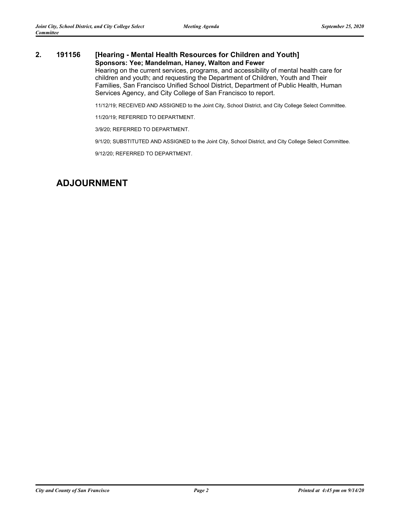### **2. 191156 [Hearing - Mental Health Resources for Children and Youth] Sponsors: Yee; Mandelman, Haney, Walton and Fewer**

Hearing on the current services, programs, and accessibility of mental health care for children and youth; and requesting the Department of Children, Youth and Their Families, San Francisco Unified School District, Department of Public Health, Human Services Agency, and City College of San Francisco to report.

11/12/19; RECEIVED AND ASSIGNED to the Joint City, School District, and City College Select Committee.

11/20/19; REFERRED TO DEPARTMENT.

3/9/20; REFERRED TO DEPARTMENT.

9/1/20; SUBSTITUTED AND ASSIGNED to the Joint City, School District, and City College Select Committee.

9/12/20; REFERRED TO DEPARTMENT.

## **ADJOURNMENT**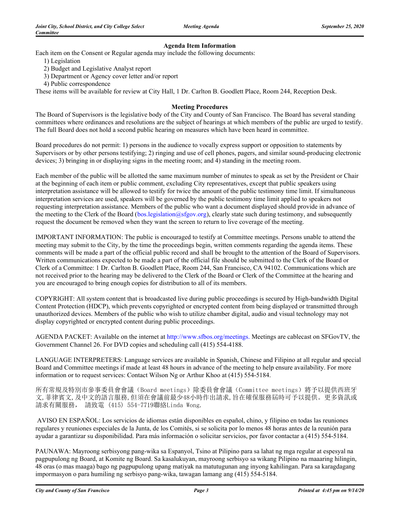#### **Agenda Item Information**

Each item on the Consent or Regular agenda may include the following documents:

- 1) Legislation
- 2) Budget and Legislative Analyst report
- 3) Department or Agency cover letter and/or report
- 4) Public correspondence

These items will be available for review at City Hall, 1 Dr. Carlton B. Goodlett Place, Room 244, Reception Desk.

#### **Meeting Procedures**

The Board of Supervisors is the legislative body of the City and County of San Francisco. The Board has several standing committees where ordinances and resolutions are the subject of hearings at which members of the public are urged to testify. The full Board does not hold a second public hearing on measures which have been heard in committee.

Board procedures do not permit: 1) persons in the audience to vocally express support or opposition to statements by Supervisors or by other persons testifying; 2) ringing and use of cell phones, pagers, and similar sound-producing electronic devices; 3) bringing in or displaying signs in the meeting room; and 4) standing in the meeting room.

Each member of the public will be allotted the same maximum number of minutes to speak as set by the President or Chair at the beginning of each item or public comment, excluding City representatives, except that public speakers using interpretation assistance will be allowed to testify for twice the amount of the public testimony time limit. If simultaneous interpretation services are used, speakers will be governed by the public testimony time limit applied to speakers not requesting interpretation assistance. Members of the public who want a document displayed should provide in advance of the meeting to the Clerk of the Board (bos.legislation@sfgov.org), clearly state such during testimony, and subsequently request the document be removed when they want the screen to return to live coverage of the meeting.

IMPORTANT INFORMATION: The public is encouraged to testify at Committee meetings. Persons unable to attend the meeting may submit to the City, by the time the proceedings begin, written comments regarding the agenda items. These comments will be made a part of the official public record and shall be brought to the attention of the Board of Supervisors. Written communications expected to be made a part of the official file should be submitted to the Clerk of the Board or Clerk of a Committee: 1 Dr. Carlton B. Goodlett Place, Room 244, San Francisco, CA 94102. Communications which are not received prior to the hearing may be delivered to the Clerk of the Board or Clerk of the Committee at the hearing and you are encouraged to bring enough copies for distribution to all of its members.

COPYRIGHT: All system content that is broadcasted live during public proceedings is secured by High-bandwidth Digital Content Protection (HDCP), which prevents copyrighted or encrypted content from being displayed or transmitted through unauthorized devices. Members of the public who wish to utilize chamber digital, audio and visual technology may not display copyrighted or encrypted content during public proceedings.

AGENDA PACKET: Available on the internet at http://www.sfbos.org/meetings. Meetings are cablecast on SFGovTV, the Government Channel 26. For DVD copies and scheduling call (415) 554-4188.

LANGUAGE INTERPRETERS: Language services are available in Spanish, Chinese and Filipino at all regular and special Board and Committee meetings if made at least 48 hours in advance of the meeting to help ensure availability. For more information or to request services: Contact Wilson Ng or Arthur Khoo at (415) 554-5184.

所有常規及特別市參事委員會會議(Board meetings)除委員會會議(Committee meetings)將予以提供西班牙 文,菲律賓文,及中文的語言服務,但須在會議前最少48小時作出請求,旨在確保服務屆時可予以提供。更多資訊或 請求有關服務, 請致電 (415) 554-7719聯絡Linda Wong.

 AVISO EN ESPAÑOL: Los servicios de idiomas están disponibles en español, chino, y filipino en todas las reuniones regulares y reuniones especiales de la Junta, de los Comités, si se solicita por lo menos 48 horas antes de la reunión para ayudar a garantizar su disponibilidad. Para más información o solicitar servicios, por favor contactar a (415) 554-5184.

PAUNAWA: Mayroong serbisyong pang-wika sa Espanyol, Tsino at Pilipino para sa lahat ng mga regular at espesyal na pagpupulong ng Board, at Komite ng Board. Sa kasalukuyan, mayroong serbisyo sa wikang Pilipino na maaaring hilingin, 48 oras (o mas maaga) bago ng pagpupulong upang matiyak na matutugunan ang inyong kahilingan. Para sa karagdagang impormasyon o para humiling ng serbisyo pang-wika, tawagan lamang ang (415) 554-5184.